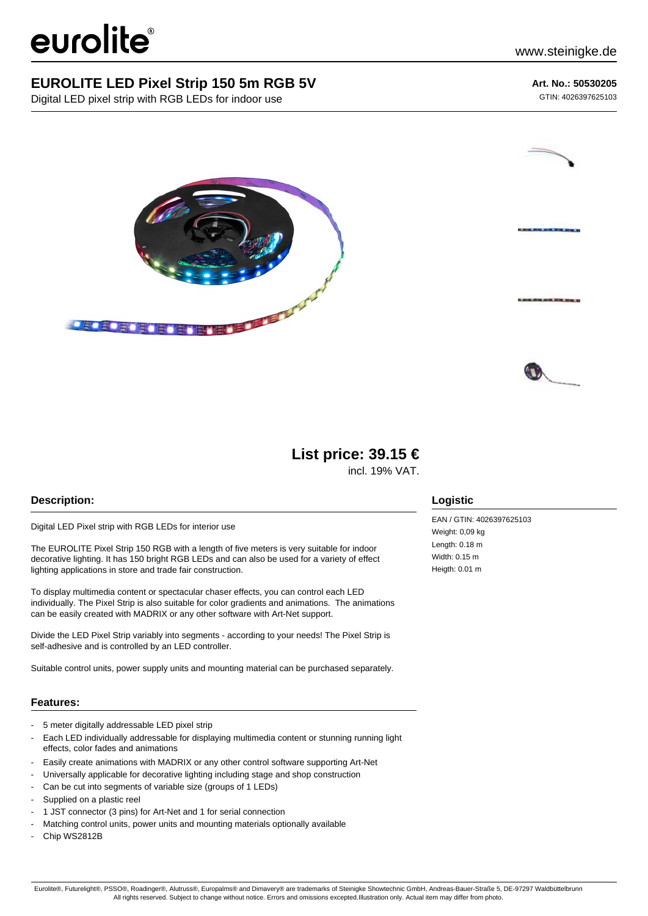# eurolite®

### **EUROLITE LED Pixel Strip 150 5m RGB 5V**

Digital LED pixel strip with RGB LEDs for indoor use

#### **Art. No.: 50530205**

GTIN: 4026397625103







## **List price: 39.15 €**

incl. 19% VAT.

#### **Description:**

Digital LED Pixel strip with RGB LEDs for interior use

The EUROLITE Pixel Strip 150 RGB with a length of five meters is very suitable for indoor decorative lighting. It has 150 bright RGB LEDs and can also be used for a variety of effect lighting applications in store and trade fair construction.

To display multimedia content or spectacular chaser effects, you can control each LED individually. The Pixel Strip is also suitable for color gradients and animations. The animations can be easily created with MADRIX or any other software with Art-Net support.

Divide the LED Pixel Strip variably into segments - according to your needs! The Pixel Strip is self-adhesive and is controlled by an LED controller.

Suitable control units, power supply units and mounting material can be purchased separately.

#### **Features:**

- 5 meter digitally addressable LED pixel strip
- Each LED individually addressable for displaying multimedia content or stunning running light effects, color fades and animations
- Easily create animations with MADRIX or any other control software supporting Art-Net
- Universally applicable for decorative lighting including stage and shop construction
- Can be cut into segments of variable size (groups of 1 LEDs)
- Supplied on a plastic reel
- 1 JST connector (3 pins) for Art-Net and 1 for serial connection
- Matching control units, power units and mounting materials optionally available
- Chip WS2812B

#### **Logistic**

EAN / GTIN: 4026397625103 Weight: 0.09 kg Length: 0.18 m Width: 0.15 m Heigth: 0.01 m

Eurolite®, Futurelight®, PSSO®, Roadinger®, Alutruss®, Europalms® and Dimavery® are trademarks of Steinigke Showtechnic GmbH, Andreas-Bauer-Straße 5, DE-97297 Waldbüttelbrunn All rights reserved. Subject to change without notice. Errors and omissions excepted.Illustration only. Actual item may differ from photo.